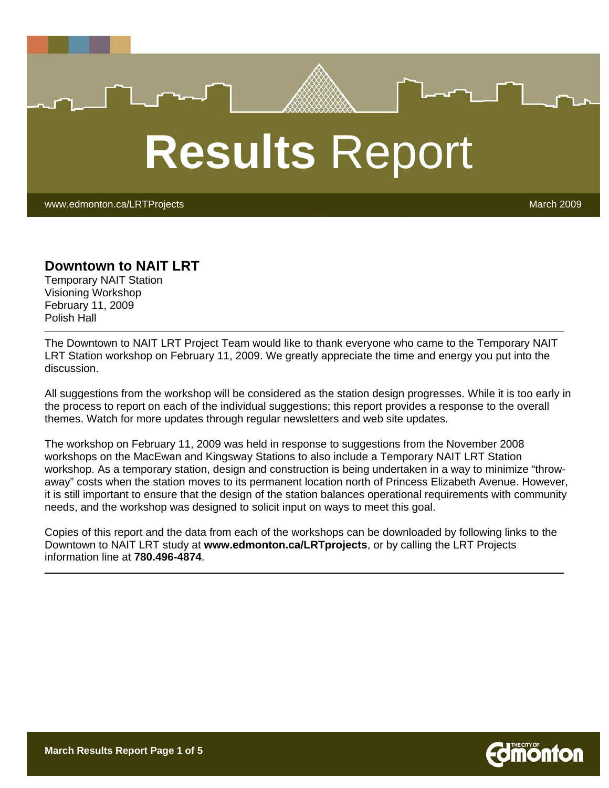# **Results** Report

www.edmonton.ca/LRTProjects March 2009 - And Control Control of March 2009 - March 2009

#### **Downtown to NAIT LRT**

Temporary NAIT Station Visioning Workshop February 11, 2009 Polish Hall

The Downtown to NAIT LRT Project Team would like to thank everyone who came to the Temporary NAIT LRT Station workshop on February 11, 2009. We greatly appreciate the time and energy you put into the discussion.

All suggestions from the workshop will be considered as the station design progresses. While it is too early in the process to report on each of the individual suggestions; this report provides a response to the overall themes. Watch for more updates through regular newsletters and web site updates.

The workshop on February 11, 2009 was held in response to suggestions from the November 2008 workshops on the MacEwan and Kingsway Stations to also include a Temporary NAIT LRT Station workshop. As a temporary station, design and construction is being undertaken in a way to minimize "throwaway" costs when the station moves to its permanent location north of Princess Elizabeth Avenue. However, it is still important to ensure that the design of the station balances operational requirements with community needs, and the workshop was designed to solicit input on ways to meet this goal.

Copies of this report and the data from each of the workshops can be downloaded by following links to the Downtown to NAIT LRT study at **www.edmonton.ca/LRTprojects**, or by calling the LRT Projects information line at **780.496-4874**.

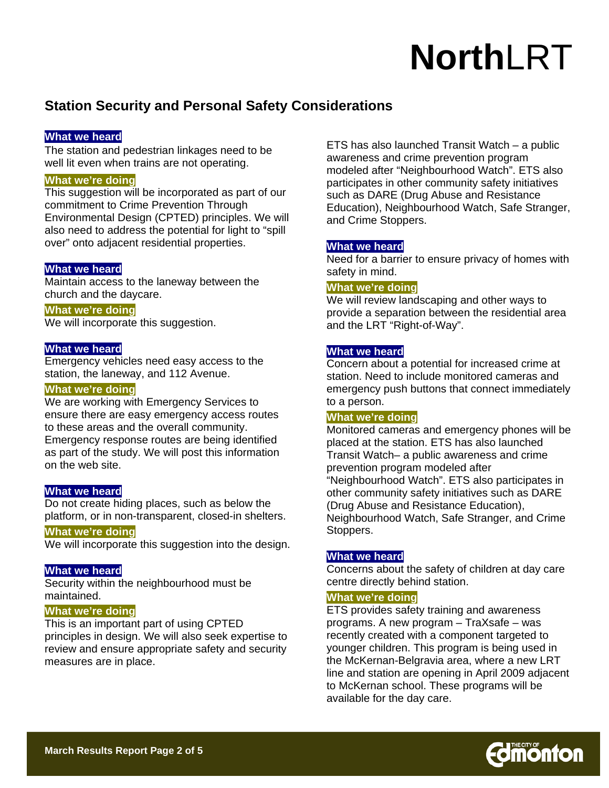## **Station Security and Personal Safety Considerations**

#### **What we heard**

The station and pedestrian linkages need to be well lit even when trains are not operating.

#### **What we're doing**

This suggestion will be incorporated as part of our commitment to Crime Prevention Through Environmental Design (CPTED) principles. We will also need to address the potential for light to "spill over" onto adjacent residential properties.

#### **What we heard**

Maintain access to the laneway between the church and the daycare.

#### **What we're doing**

We will incorporate this suggestion.

#### **What we heard**

Emergency vehicles need easy access to the station, the laneway, and 112 Avenue.

#### **What we're doing**

We are working with Emergency Services to ensure there are easy emergency access routes to these areas and the overall community. Emergency response routes are being identified as part of the study. We will post this information on the web site.

#### **What we heard**

Do not create hiding places, such as below the platform, or in non-transparent, closed-in shelters.

#### **What we're doing**

We will incorporate this suggestion into the design.

#### **What we heard**

Security within the neighbourhood must be maintained.

#### **What we're doing**

This is an important part of using CPTED principles in design. We will also seek expertise to review and ensure appropriate safety and security measures are in place.

ETS has also launched Transit Watch – a public awareness and crime prevention program modeled after "Neighbourhood Watch". ETS also participates in other community safety initiatives such as DARE (Drug Abuse and Resistance Education), Neighbourhood Watch, Safe Stranger, and Crime Stoppers.

#### **What we heard**

Need for a barrier to ensure privacy of homes with safety in mind.

#### **What we're doing**

We will review landscaping and other ways to provide a separation between the residential area and the LRT "Right-of-Way".

#### **What we heard**

Concern about a potential for increased crime at station. Need to include monitored cameras and emergency push buttons that connect immediately to a person.

#### **What we're doing**

Monitored cameras and emergency phones will be placed at the station. ETS has also launched Transit Watch– a public awareness and crime prevention program modeled after "Neighbourhood Watch". ETS also participates in other community safety initiatives such as DARE (Drug Abuse and Resistance Education), Neighbourhood Watch, Safe Stranger, and Crime Stoppers.

#### **What we heard**

Concerns about the safety of children at day care centre directly behind station.

#### **What we're doing**

ETS provides safety training and awareness programs. A new program – TraXsafe – was recently created with a component targeted to younger children. This program is being used in the McKernan-Belgravia area, where a new LRT line and station are opening in April 2009 adjacent to McKernan school. These programs will be available for the day care.

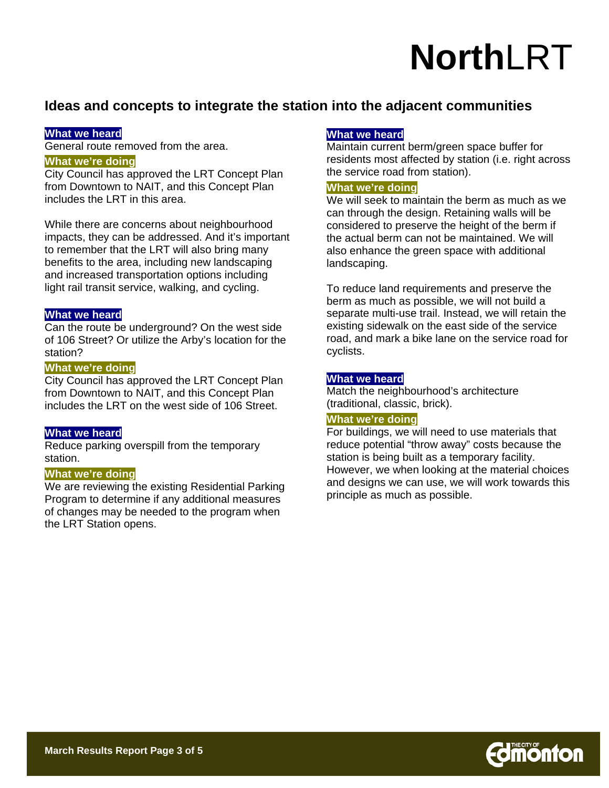### **Ideas and concepts to integrate the station into the adjacent communities**

#### **What we heard**

General route removed from the area.

#### **What we're doing**

City Council has approved the LRT Concept Plan from Downtown to NAIT, and this Concept Plan includes the LRT in this area.

While there are concerns about neighbourhood impacts, they can be addressed. And it's important to remember that the LRT will also bring many benefits to the area, including new landscaping and increased transportation options including light rail transit service, walking, and cycling.

#### **What we heard**

Can the route be underground? On the west side of 106 Street? Or utilize the Arby's location for the station?

#### **What we're doing**

City Council has approved the LRT Concept Plan from Downtown to NAIT, and this Concept Plan includes the LRT on the west side of 106 Street.

#### **What we heard**

Reduce parking overspill from the temporary station.

#### **What we're doing**

We are reviewing the existing Residential Parking Program to determine if any additional measures of changes may be needed to the program when the LRT Station opens.

#### **What we heard**

Maintain current berm/green space buffer for residents most affected by station (i.e. right across the service road from station).

#### **What we're doing**

We will seek to maintain the berm as much as we can through the design. Retaining walls will be considered to preserve the height of the berm if the actual berm can not be maintained. We will also enhance the green space with additional landscaping.

To reduce land requirements and preserve the berm as much as possible, we will not build a separate multi-use trail. Instead, we will retain the existing sidewalk on the east side of the service road, and mark a bike lane on the service road for cyclists.

#### **What we heard**

Match the neighbourhood's architecture (traditional, classic, brick).

#### **What we're doing**

For buildings, we will need to use materials that reduce potential "throw away" costs because the station is being built as a temporary facility. However, we when looking at the material choices and designs we can use, we will work towards this principle as much as possible.

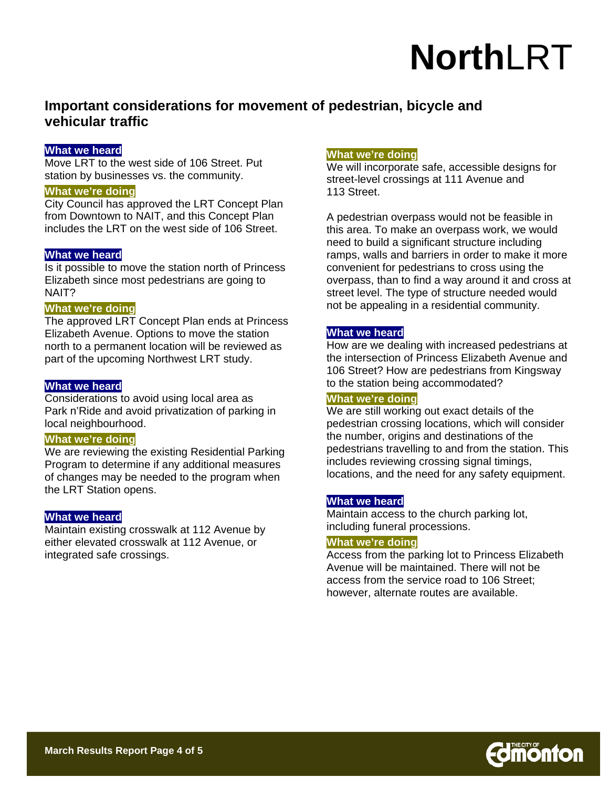### **Important considerations for movement of pedestrian, bicycle and vehicular traffic**

#### **What we heard**

Move LRT to the west side of 106 Street. Put station by businesses vs. the community.

#### **What we're doing**

City Council has approved the LRT Concept Plan from Downtown to NAIT, and this Concept Plan includes the LRT on the west side of 106 Street.

#### **What we heard**

Is it possible to move the station north of Princess Elizabeth since most pedestrians are going to NAIT?

#### **What we're doing**

The approved LRT Concept Plan ends at Princess Elizabeth Avenue. Options to move the station north to a permanent location will be reviewed as part of the upcoming Northwest LRT study.

#### **What we heard**

Considerations to avoid using local area as Park n'Ride and avoid privatization of parking in local neighbourhood.

#### **What we're doing**

We are reviewing the existing Residential Parking Program to determine if any additional measures of changes may be needed to the program when the LRT Station opens.

#### **What we heard**

Maintain existing crosswalk at 112 Avenue by either elevated crosswalk at 112 Avenue, or integrated safe crossings.

#### **What we're doing**

We will incorporate safe, accessible designs for street-level crossings at 111 Avenue and 113 Street.

A pedestrian overpass would not be feasible in this area. To make an overpass work, we would need to build a significant structure including ramps, walls and barriers in order to make it more convenient for pedestrians to cross using the overpass, than to find a way around it and cross at street level. The type of structure needed would not be appealing in a residential community.

#### **What we heard**

How are we dealing with increased pedestrians at the intersection of Princess Elizabeth Avenue and 106 Street? How are pedestrians from Kingsway to the station being accommodated?

#### **What we're doing**

We are still working out exact details of the pedestrian crossing locations, which will consider the number, origins and destinations of the pedestrians travelling to and from the station. This includes reviewing crossing signal timings, locations, and the need for any safety equipment.

#### **What we heard**

Maintain access to the church parking lot, including funeral processions.

#### **What we're doing**

Access from the parking lot to Princess Elizabeth Avenue will be maintained. There will not be access from the service road to 106 Street; however, alternate routes are available.